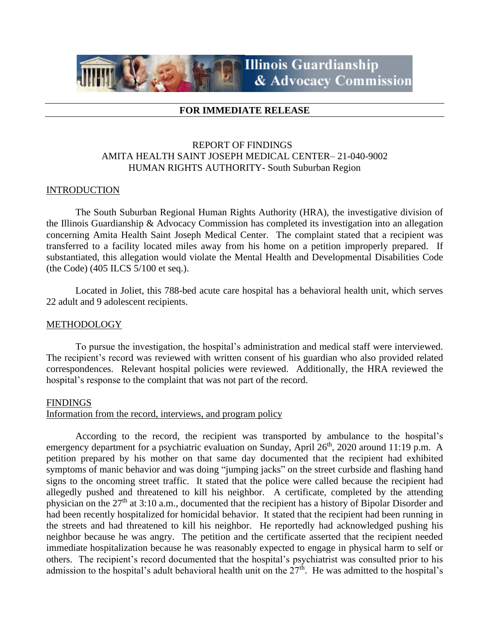# **Illinois Guardianship** & Advocacy Commission

### **FOR IMMEDIATE RELEASE**

## REPORT OF FINDINGS AMITA HEALTH SAINT JOSEPH MEDICAL CENTER– 21-040-9002 HUMAN RIGHTS AUTHORITY- South Suburban Region

#### **INTRODUCTION**

The South Suburban Regional Human Rights Authority (HRA), the investigative division of the Illinois Guardianship & Advocacy Commission has completed its investigation into an allegation concerning Amita Health Saint Joseph Medical Center. The complaint stated that a recipient was transferred to a facility located miles away from his home on a petition improperly prepared. If substantiated, this allegation would violate the Mental Health and Developmental Disabilities Code (the Code) (405 ILCS 5/100 et seq.).

Located in Joliet, this 788-bed acute care hospital has a behavioral health unit, which serves 22 adult and 9 adolescent recipients.

#### METHODOLOGY

To pursue the investigation, the hospital's administration and medical staff were interviewed. The recipient's record was reviewed with written consent of his guardian who also provided related correspondences. Relevant hospital policies were reviewed. Additionally, the HRA reviewed the hospital's response to the complaint that was not part of the record.

#### FINDINGS

#### Information from the record, interviews, and program policy

According to the record, the recipient was transported by ambulance to the hospital's emergency department for a psychiatric evaluation on Sunday, April 26<sup>th</sup>, 2020 around 11:19 p.m. A petition prepared by his mother on that same day documented that the recipient had exhibited symptoms of manic behavior and was doing "jumping jacks" on the street curbside and flashing hand signs to the oncoming street traffic. It stated that the police were called because the recipient had allegedly pushed and threatened to kill his neighbor. A certificate, completed by the attending physician on the 27th at 3:10 a.m., documented that the recipient has a history of Bipolar Disorder and had been recently hospitalized for homicidal behavior. It stated that the recipient had been running in the streets and had threatened to kill his neighbor. He reportedly had acknowledged pushing his neighbor because he was angry. The petition and the certificate asserted that the recipient needed immediate hospitalization because he was reasonably expected to engage in physical harm to self or others. The recipient's record documented that the hospital's psychiatrist was consulted prior to his admission to the hospital's adult behavioral health unit on the  $27<sup>th</sup>$ . He was admitted to the hospital's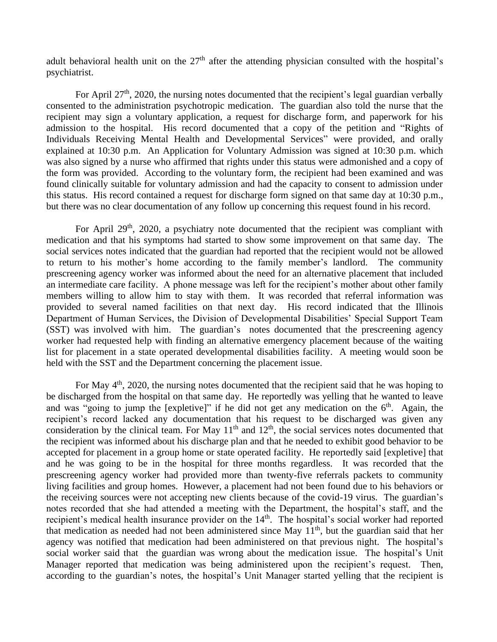adult behavioral health unit on the  $27<sup>th</sup>$  after the attending physician consulted with the hospital's psychiatrist.

For April  $27<sup>th</sup>$ , 2020, the nursing notes documented that the recipient's legal guardian verbally consented to the administration psychotropic medication. The guardian also told the nurse that the recipient may sign a voluntary application, a request for discharge form, and paperwork for his admission to the hospital. His record documented that a copy of the petition and "Rights of Individuals Receiving Mental Health and Developmental Services" were provided, and orally explained at 10:30 p.m. An Application for Voluntary Admission was signed at 10:30 p.m. which was also signed by a nurse who affirmed that rights under this status were admonished and a copy of the form was provided. According to the voluntary form, the recipient had been examined and was found clinically suitable for voluntary admission and had the capacity to consent to admission under this status. His record contained a request for discharge form signed on that same day at 10:30 p.m., but there was no clear documentation of any follow up concerning this request found in his record.

For April 29<sup>th</sup>, 2020, a psychiatry note documented that the recipient was compliant with medication and that his symptoms had started to show some improvement on that same day. The social services notes indicated that the guardian had reported that the recipient would not be allowed to return to his mother's home according to the family member's landlord. The community prescreening agency worker was informed about the need for an alternative placement that included an intermediate care facility. A phone message was left for the recipient's mother about other family members willing to allow him to stay with them. It was recorded that referral information was provided to several named facilities on that next day. His record indicated that the Illinois Department of Human Services, the Division of Developmental Disabilities' Special Support Team (SST) was involved with him. The guardian's notes documented that the prescreening agency worker had requested help with finding an alternative emergency placement because of the waiting list for placement in a state operated developmental disabilities facility. A meeting would soon be held with the SST and the Department concerning the placement issue.

For May 4<sup>th</sup>, 2020, the nursing notes documented that the recipient said that he was hoping to be discharged from the hospital on that same day. He reportedly was yelling that he wanted to leave and was "going to jump the [expletive]" if he did not get any medication on the  $6<sup>th</sup>$ . Again, the recipient's record lacked any documentation that his request to be discharged was given any consideration by the clinical team. For May  $11<sup>th</sup>$  and  $12<sup>th</sup>$ , the social services notes documented that the recipient was informed about his discharge plan and that he needed to exhibit good behavior to be accepted for placement in a group home or state operated facility. He reportedly said [expletive] that and he was going to be in the hospital for three months regardless. It was recorded that the prescreening agency worker had provided more than twenty-five referrals packets to community living facilities and group homes. However, a placement had not been found due to his behaviors or the receiving sources were not accepting new clients because of the covid-19 virus. The guardian's notes recorded that she had attended a meeting with the Department, the hospital's staff, and the recipient's medical health insurance provider on the 14<sup>th</sup>. The hospital's social worker had reported that medication as needed had not been administered since May  $11<sup>th</sup>$ , but the guardian said that her agency was notified that medication had been administered on that previous night. The hospital's social worker said that the guardian was wrong about the medication issue. The hospital's Unit Manager reported that medication was being administered upon the recipient's request. Then, according to the guardian's notes, the hospital's Unit Manager started yelling that the recipient is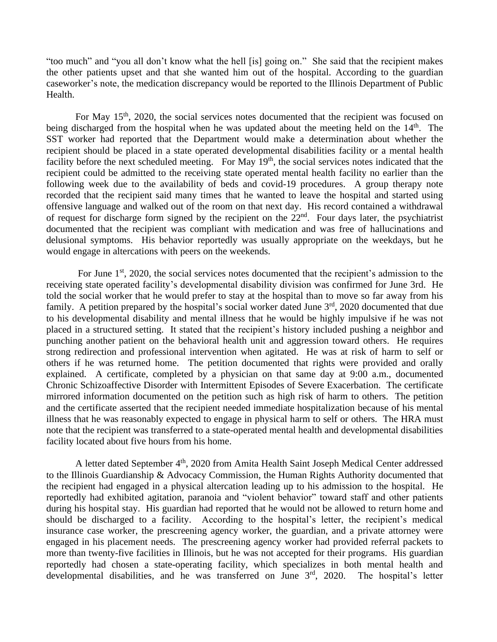"too much" and "you all don't know what the hell [is] going on." She said that the recipient makes the other patients upset and that she wanted him out of the hospital. According to the guardian caseworker's note, the medication discrepancy would be reported to the Illinois Department of Public Health.

For May  $15<sup>th</sup>$ , 2020, the social services notes documented that the recipient was focused on being discharged from the hospital when he was updated about the meeting held on the 14<sup>th</sup>. The SST worker had reported that the Department would make a determination about whether the recipient should be placed in a state operated developmental disabilities facility or a mental health facility before the next scheduled meeting. For May 19<sup>th</sup>, the social services notes indicated that the recipient could be admitted to the receiving state operated mental health facility no earlier than the following week due to the availability of beds and covid-19 procedures. A group therapy note recorded that the recipient said many times that he wanted to leave the hospital and started using offensive language and walked out of the room on that next day. His record contained a withdrawal of request for discharge form signed by the recipient on the  $22<sup>nd</sup>$ . Four days later, the psychiatrist documented that the recipient was compliant with medication and was free of hallucinations and delusional symptoms. His behavior reportedly was usually appropriate on the weekdays, but he would engage in altercations with peers on the weekends.

For June  $1<sup>st</sup>$ , 2020, the social services notes documented that the recipient's admission to the receiving state operated facility's developmental disability division was confirmed for June 3rd. He told the social worker that he would prefer to stay at the hospital than to move so far away from his family. A petition prepared by the hospital's social worker dated June  $3<sup>rd</sup>$ , 2020 documented that due to his developmental disability and mental illness that he would be highly impulsive if he was not placed in a structured setting. It stated that the recipient's history included pushing a neighbor and punching another patient on the behavioral health unit and aggression toward others. He requires strong redirection and professional intervention when agitated. He was at risk of harm to self or others if he was returned home. The petition documented that rights were provided and orally explained. A certificate, completed by a physician on that same day at 9:00 a.m., documented Chronic Schizoaffective Disorder with Intermittent Episodes of Severe Exacerbation. The certificate mirrored information documented on the petition such as high risk of harm to others. The petition and the certificate asserted that the recipient needed immediate hospitalization because of his mental illness that he was reasonably expected to engage in physical harm to self or others. The HRA must note that the recipient was transferred to a state-operated mental health and developmental disabilities facility located about five hours from his home.

A letter dated September 4<sup>th</sup>, 2020 from Amita Health Saint Joseph Medical Center addressed to the Illinois Guardianship & Advocacy Commission, the Human Rights Authority documented that the recipient had engaged in a physical altercation leading up to his admission to the hospital. He reportedly had exhibited agitation, paranoia and "violent behavior" toward staff and other patients during his hospital stay. His guardian had reported that he would not be allowed to return home and should be discharged to a facility. According to the hospital's letter, the recipient's medical insurance case worker, the prescreening agency worker, the guardian, and a private attorney were engaged in his placement needs. The prescreening agency worker had provided referral packets to more than twenty-five facilities in Illinois, but he was not accepted for their programs. His guardian reportedly had chosen a state-operating facility, which specializes in both mental health and developmental disabilities, and he was transferred on June  $3<sup>rd</sup>$ , 2020. The hospital's letter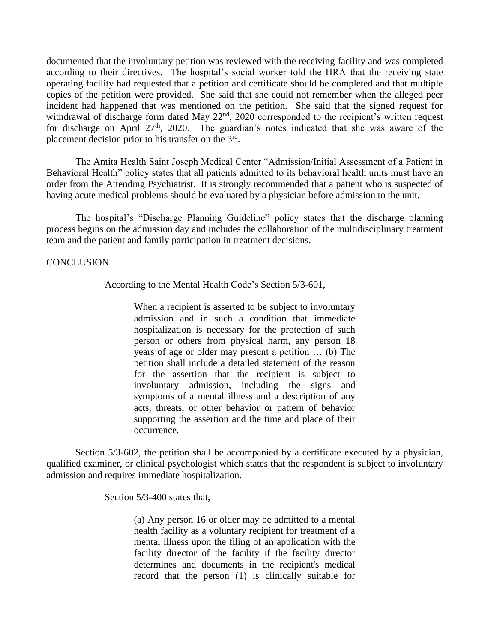documented that the involuntary petition was reviewed with the receiving facility and was completed according to their directives. The hospital's social worker told the HRA that the receiving state operating facility had requested that a petition and certificate should be completed and that multiple copies of the petition were provided. She said that she could not remember when the alleged peer incident had happened that was mentioned on the petition. She said that the signed request for withdrawal of discharge form dated May 22<sup>nd</sup>, 2020 corresponded to the recipient's written request for discharge on April 27<sup>th</sup>, 2020. The guardian's notes indicated that she was aware of the placement decision prior to his transfer on the 3<sup>rd</sup>.

The Amita Health Saint Joseph Medical Center "Admission/Initial Assessment of a Patient in Behavioral Health" policy states that all patients admitted to its behavioral health units must have an order from the Attending Psychiatrist. It is strongly recommended that a patient who is suspected of having acute medical problems should be evaluated by a physician before admission to the unit.

The hospital's "Discharge Planning Guideline" policy states that the discharge planning process begins on the admission day and includes the collaboration of the multidisciplinary treatment team and the patient and family participation in treatment decisions.

#### **CONCLUSION**

According to the Mental Health Code's Section 5/3-601,

When a recipient is asserted to be subject to involuntary admission and in such a condition that immediate hospitalization is necessary for the protection of such person or others from physical harm, any person 18 years of age or older may present a petition … (b) The petition shall include a detailed statement of the reason for the assertion that the recipient is subject to involuntary admission, including the signs and symptoms of a mental illness and a description of any acts, threats, or other behavior or pattern of behavior supporting the assertion and the time and place of their occurrence.

Section 5/3-602, the petition shall be accompanied by a certificate executed by a physician, qualified examiner, or clinical psychologist which states that the respondent is subject to involuntary admission and requires immediate hospitalization.

Section 5/3-400 states that,

(a) Any person 16 or older may be admitted to a mental health facility as a voluntary recipient for treatment of a mental illness upon the filing of an application with the facility director of the facility if the facility director determines and documents in the recipient's medical record that the person (1) is clinically suitable for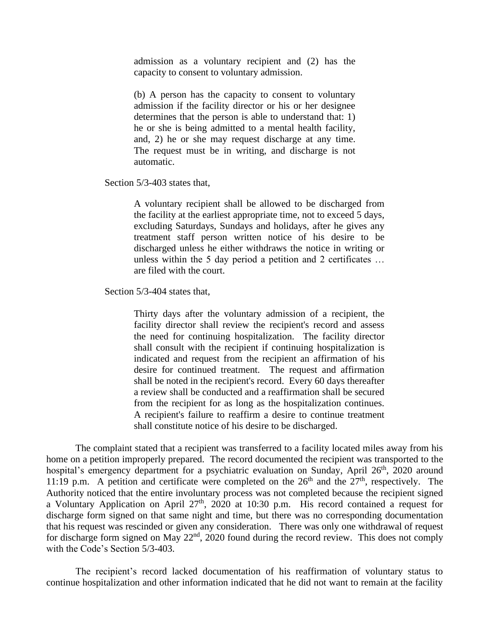admission as a voluntary recipient and (2) has the capacity to consent to voluntary admission.

(b) A person has the capacity to consent to voluntary admission if the facility director or his or her designee determines that the person is able to understand that: 1) he or she is being admitted to a mental health facility, and, 2) he or she may request discharge at any time. The request must be in writing, and discharge is not automatic.

Section 5/3-403 states that,

A voluntary recipient shall be allowed to be discharged from the facility at the earliest appropriate time, not to exceed 5 days, excluding Saturdays, Sundays and holidays, after he gives any treatment staff person written notice of his desire to be discharged unless he either withdraws the notice in writing or unless within the 5 day period a petition and 2 certificates … are filed with the court.

Section 5/3-404 states that,

Thirty days after the voluntary admission of a recipient, the facility director shall review the recipient's record and assess the need for continuing hospitalization. The facility director shall consult with the recipient if continuing hospitalization is indicated and request from the recipient an affirmation of his desire for continued treatment. The request and affirmation shall be noted in the recipient's record. Every 60 days thereafter a review shall be conducted and a reaffirmation shall be secured from the recipient for as long as the hospitalization continues. A recipient's failure to reaffirm a desire to continue treatment shall constitute notice of his desire to be discharged.

The complaint stated that a recipient was transferred to a facility located miles away from his home on a petition improperly prepared. The record documented the recipient was transported to the hospital's emergency department for a psychiatric evaluation on Sunday, April 26<sup>th</sup>, 2020 around 11:19 p.m. A petition and certificate were completed on the  $26<sup>th</sup>$  and the  $27<sup>th</sup>$ , respectively. The Authority noticed that the entire involuntary process was not completed because the recipient signed a Voluntary Application on April 27<sup>th</sup>, 2020 at 10:30 p.m. His record contained a request for discharge form signed on that same night and time, but there was no corresponding documentation that his request was rescinded or given any consideration. There was only one withdrawal of request for discharge form signed on May 22<sup>nd</sup>, 2020 found during the record review. This does not comply with the Code's Section 5/3-403.

The recipient's record lacked documentation of his reaffirmation of voluntary status to continue hospitalization and other information indicated that he did not want to remain at the facility